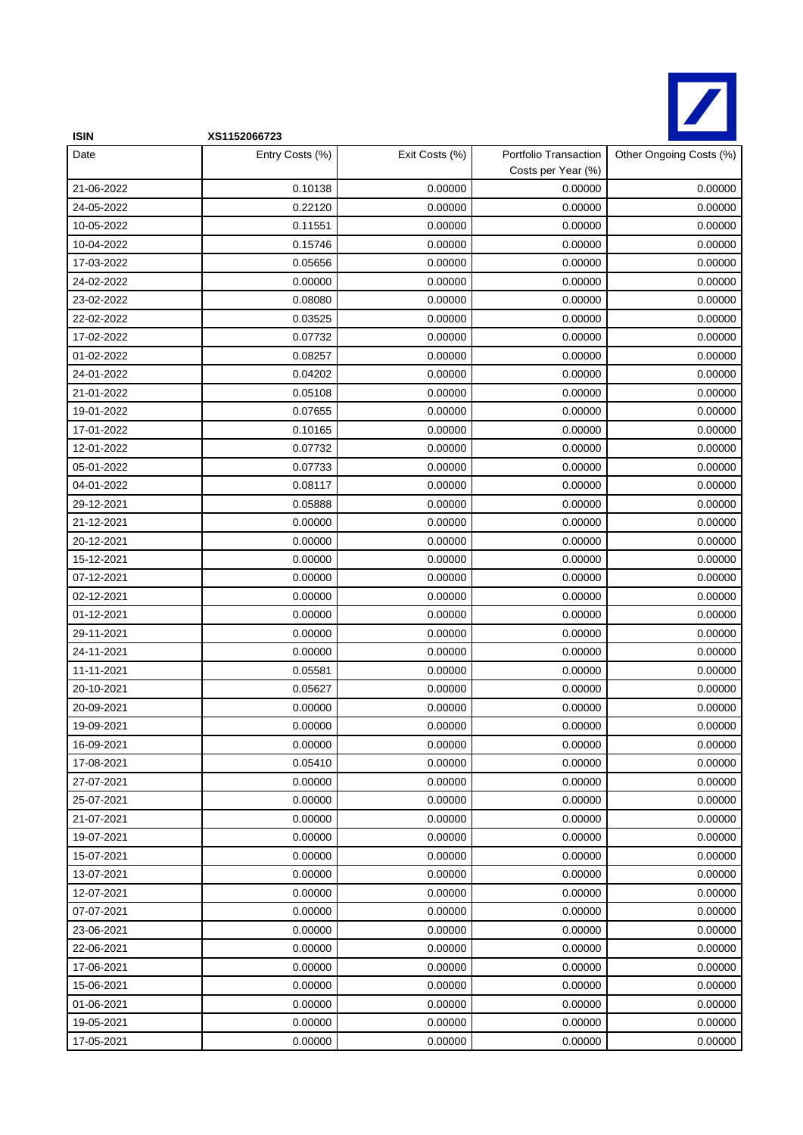

| <b>ISIN</b> | XS1152066723    |                |                                             |                         |
|-------------|-----------------|----------------|---------------------------------------------|-------------------------|
| Date        | Entry Costs (%) | Exit Costs (%) | Portfolio Transaction<br>Costs per Year (%) | Other Ongoing Costs (%) |
| 21-06-2022  | 0.10138         | 0.00000        | 0.00000                                     | 0.00000                 |
| 24-05-2022  | 0.22120         | 0.00000        | 0.00000                                     | 0.00000                 |
| 10-05-2022  | 0.11551         | 0.00000        | 0.00000                                     | 0.00000                 |
| 10-04-2022  | 0.15746         | 0.00000        | 0.00000                                     | 0.00000                 |
| 17-03-2022  | 0.05656         | 0.00000        | 0.00000                                     | 0.00000                 |
| 24-02-2022  | 0.00000         | 0.00000        | 0.00000                                     | 0.00000                 |
| 23-02-2022  | 0.08080         | 0.00000        | 0.00000                                     | 0.00000                 |
| 22-02-2022  | 0.03525         | 0.00000        | 0.00000                                     | 0.00000                 |
| 17-02-2022  | 0.07732         | 0.00000        | 0.00000                                     | 0.00000                 |
| 01-02-2022  | 0.08257         | 0.00000        | 0.00000                                     | 0.00000                 |
| 24-01-2022  | 0.04202         | 0.00000        | 0.00000                                     | 0.00000                 |
| 21-01-2022  | 0.05108         | 0.00000        | 0.00000                                     | 0.00000                 |
| 19-01-2022  | 0.07655         | 0.00000        | 0.00000                                     | 0.00000                 |
| 17-01-2022  | 0.10165         | 0.00000        | 0.00000                                     | 0.00000                 |
| 12-01-2022  | 0.07732         | 0.00000        | 0.00000                                     | 0.00000                 |
| 05-01-2022  | 0.07733         | 0.00000        | 0.00000                                     | 0.00000                 |
| 04-01-2022  | 0.08117         | 0.00000        | 0.00000                                     | 0.00000                 |
| 29-12-2021  | 0.05888         | 0.00000        | 0.00000                                     | 0.00000                 |
| 21-12-2021  | 0.00000         | 0.00000        | 0.00000                                     | 0.00000                 |
| 20-12-2021  | 0.00000         | 0.00000        | 0.00000                                     | 0.00000                 |
| 15-12-2021  | 0.00000         | 0.00000        | 0.00000                                     | 0.00000                 |
| 07-12-2021  | 0.00000         | 0.00000        | 0.00000                                     | 0.00000                 |
| 02-12-2021  | 0.00000         | 0.00000        | 0.00000                                     | 0.00000                 |
| 01-12-2021  | 0.00000         | 0.00000        | 0.00000                                     | 0.00000                 |
| 29-11-2021  | 0.00000         | 0.00000        | 0.00000                                     | 0.00000                 |
| 24-11-2021  | 0.00000         | 0.00000        | 0.00000                                     | 0.00000                 |
| 11-11-2021  | 0.05581         | 0.00000        | 0.00000                                     | 0.00000                 |
| 20-10-2021  | 0.05627         | 0.00000        | 0.00000                                     | 0.00000                 |
| 20-09-2021  | 0.00000         | 0.00000        | 0.00000                                     | 0.00000                 |
| 19-09-2021  | 0.00000         | 0.00000        | 0.00000                                     | 0.00000                 |
| 16-09-2021  | 0.00000         | 0.00000        | 0.00000                                     | 0.00000                 |
| 17-08-2021  | 0.05410         | 0.00000        | 0.00000                                     | 0.00000                 |
| 27-07-2021  | 0.00000         | 0.00000        | 0.00000                                     | 0.00000                 |
| 25-07-2021  | 0.00000         | 0.00000        | 0.00000                                     | 0.00000                 |
| 21-07-2021  | 0.00000         | 0.00000        | 0.00000                                     | 0.00000                 |
| 19-07-2021  | 0.00000         | 0.00000        | 0.00000                                     | 0.00000                 |
| 15-07-2021  | 0.00000         | 0.00000        | 0.00000                                     | 0.00000                 |
| 13-07-2021  | 0.00000         | 0.00000        | 0.00000                                     | 0.00000                 |
| 12-07-2021  | 0.00000         | 0.00000        | 0.00000                                     | 0.00000                 |
| 07-07-2021  | 0.00000         | 0.00000        | 0.00000                                     | 0.00000                 |
| 23-06-2021  | 0.00000         | 0.00000        | 0.00000                                     | 0.00000                 |
| 22-06-2021  | 0.00000         | 0.00000        | 0.00000                                     | 0.00000                 |
| 17-06-2021  | 0.00000         | 0.00000        | 0.00000                                     | 0.00000                 |
| 15-06-2021  | 0.00000         | 0.00000        | 0.00000                                     | 0.00000                 |
| 01-06-2021  | 0.00000         | 0.00000        | 0.00000                                     | 0.00000                 |
| 19-05-2021  | 0.00000         | 0.00000        | 0.00000                                     | 0.00000                 |
| 17-05-2021  | 0.00000         | 0.00000        | 0.00000                                     | 0.00000                 |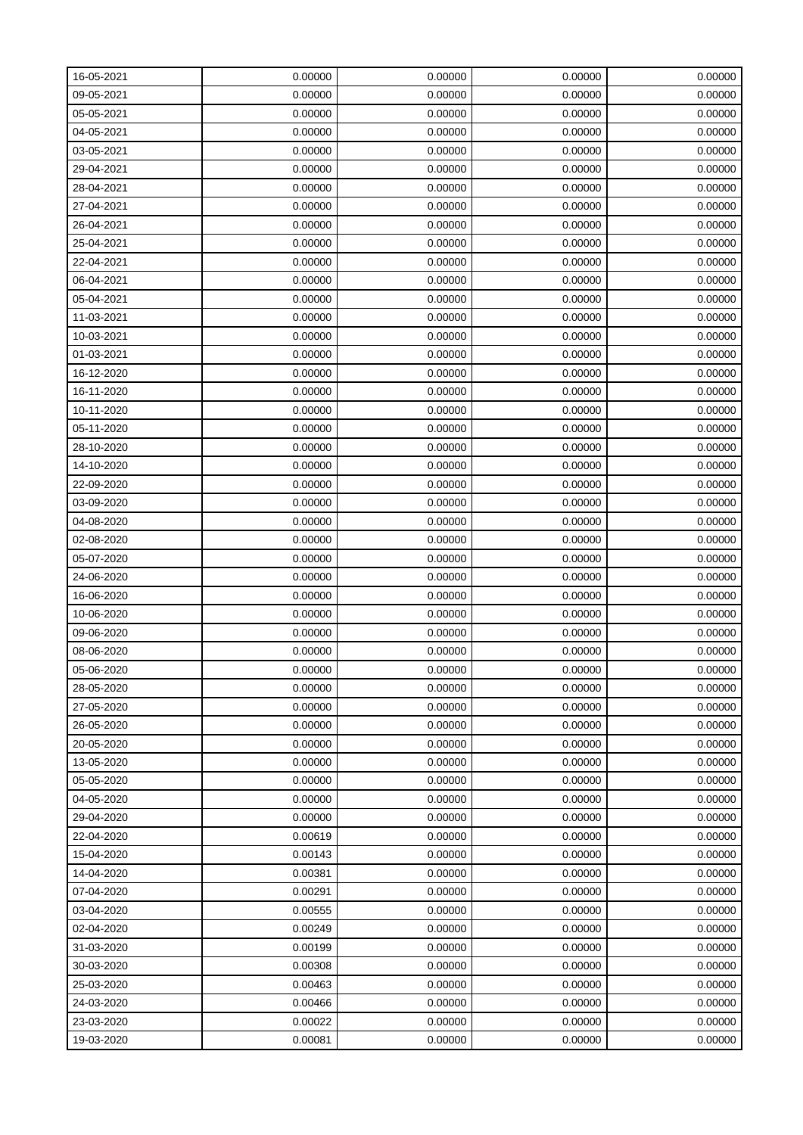| 16-05-2021 | 0.00000 | 0.00000 | 0.00000 | 0.00000 |
|------------|---------|---------|---------|---------|
| 09-05-2021 | 0.00000 | 0.00000 | 0.00000 | 0.00000 |
| 05-05-2021 | 0.00000 | 0.00000 | 0.00000 | 0.00000 |
| 04-05-2021 | 0.00000 | 0.00000 | 0.00000 | 0.00000 |
| 03-05-2021 | 0.00000 | 0.00000 | 0.00000 | 0.00000 |
| 29-04-2021 | 0.00000 | 0.00000 | 0.00000 | 0.00000 |
| 28-04-2021 | 0.00000 | 0.00000 | 0.00000 | 0.00000 |
| 27-04-2021 | 0.00000 | 0.00000 | 0.00000 | 0.00000 |
| 26-04-2021 | 0.00000 | 0.00000 | 0.00000 | 0.00000 |
| 25-04-2021 | 0.00000 | 0.00000 | 0.00000 | 0.00000 |
| 22-04-2021 | 0.00000 | 0.00000 | 0.00000 | 0.00000 |
| 06-04-2021 | 0.00000 | 0.00000 | 0.00000 | 0.00000 |
| 05-04-2021 | 0.00000 | 0.00000 | 0.00000 | 0.00000 |
| 11-03-2021 | 0.00000 | 0.00000 | 0.00000 | 0.00000 |
| 10-03-2021 | 0.00000 | 0.00000 | 0.00000 | 0.00000 |
| 01-03-2021 | 0.00000 | 0.00000 | 0.00000 | 0.00000 |
| 16-12-2020 | 0.00000 | 0.00000 | 0.00000 | 0.00000 |
| 16-11-2020 | 0.00000 | 0.00000 | 0.00000 | 0.00000 |
| 10-11-2020 | 0.00000 | 0.00000 | 0.00000 | 0.00000 |
| 05-11-2020 | 0.00000 | 0.00000 | 0.00000 | 0.00000 |
| 28-10-2020 | 0.00000 | 0.00000 | 0.00000 | 0.00000 |
| 14-10-2020 | 0.00000 | 0.00000 | 0.00000 | 0.00000 |
| 22-09-2020 | 0.00000 | 0.00000 | 0.00000 | 0.00000 |
| 03-09-2020 | 0.00000 | 0.00000 | 0.00000 | 0.00000 |
| 04-08-2020 | 0.00000 | 0.00000 | 0.00000 | 0.00000 |
| 02-08-2020 | 0.00000 | 0.00000 | 0.00000 | 0.00000 |
| 05-07-2020 | 0.00000 | 0.00000 | 0.00000 | 0.00000 |
| 24-06-2020 | 0.00000 | 0.00000 | 0.00000 | 0.00000 |
| 16-06-2020 | 0.00000 | 0.00000 | 0.00000 | 0.00000 |
| 10-06-2020 | 0.00000 | 0.00000 | 0.00000 | 0.00000 |
| 09-06-2020 | 0.00000 | 0.00000 | 0.00000 | 0.00000 |
| 08-06-2020 | 0.00000 | 0.00000 | 0.00000 | 0.00000 |
| 05-06-2020 | 0.00000 | 0.00000 | 0.00000 | 0.00000 |
| 28-05-2020 | 0.00000 | 0.00000 | 0.00000 | 0.00000 |
| 27-05-2020 | 0.00000 | 0.00000 | 0.00000 | 0.00000 |
| 26-05-2020 | 0.00000 | 0.00000 | 0.00000 | 0.00000 |
| 20-05-2020 | 0.00000 | 0.00000 | 0.00000 | 0.00000 |
| 13-05-2020 | 0.00000 | 0.00000 | 0.00000 | 0.00000 |
| 05-05-2020 | 0.00000 | 0.00000 | 0.00000 | 0.00000 |
| 04-05-2020 | 0.00000 | 0.00000 | 0.00000 | 0.00000 |
| 29-04-2020 | 0.00000 | 0.00000 | 0.00000 | 0.00000 |
| 22-04-2020 | 0.00619 | 0.00000 | 0.00000 | 0.00000 |
| 15-04-2020 | 0.00143 | 0.00000 | 0.00000 | 0.00000 |
| 14-04-2020 | 0.00381 | 0.00000 | 0.00000 | 0.00000 |
| 07-04-2020 | 0.00291 | 0.00000 | 0.00000 | 0.00000 |
| 03-04-2020 | 0.00555 | 0.00000 | 0.00000 | 0.00000 |
| 02-04-2020 | 0.00249 | 0.00000 | 0.00000 | 0.00000 |
| 31-03-2020 | 0.00199 | 0.00000 | 0.00000 | 0.00000 |
| 30-03-2020 | 0.00308 | 0.00000 | 0.00000 | 0.00000 |
| 25-03-2020 | 0.00463 | 0.00000 | 0.00000 | 0.00000 |
| 24-03-2020 | 0.00466 | 0.00000 | 0.00000 | 0.00000 |
| 23-03-2020 | 0.00022 | 0.00000 | 0.00000 | 0.00000 |
| 19-03-2020 | 0.00081 | 0.00000 | 0.00000 | 0.00000 |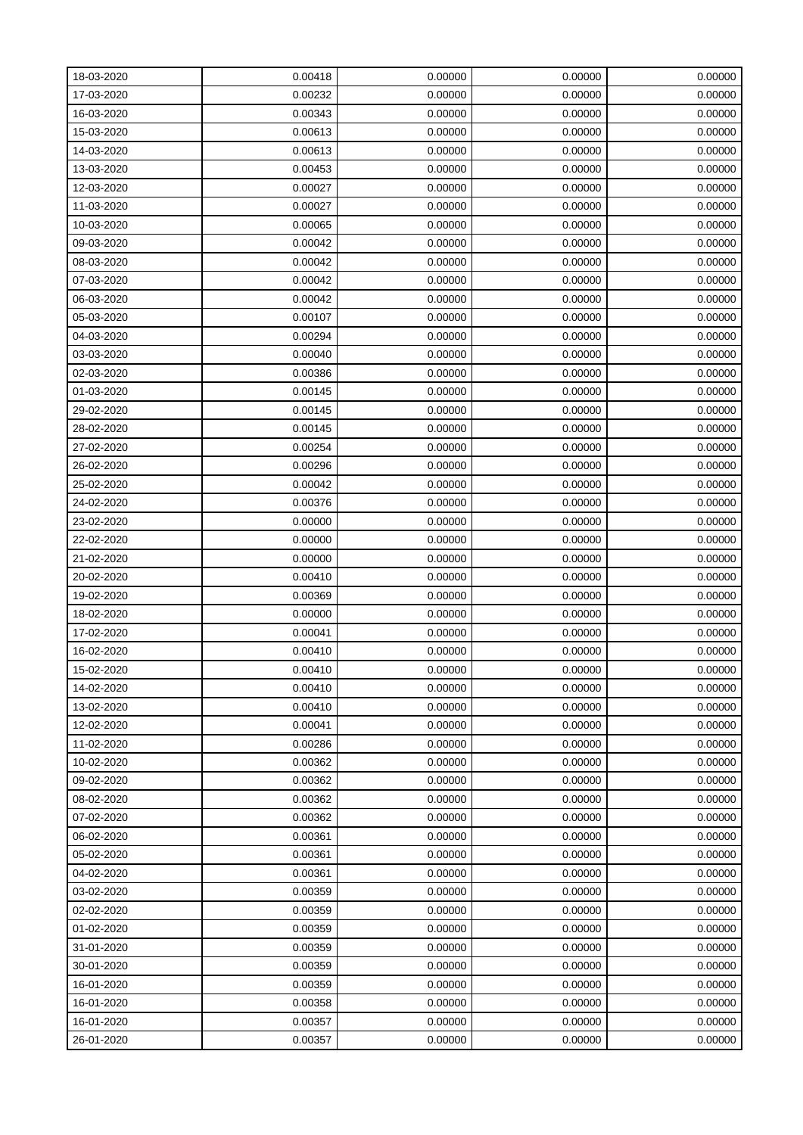| 18-03-2020 | 0.00418 | 0.00000 | 0.00000 | 0.00000 |
|------------|---------|---------|---------|---------|
| 17-03-2020 | 0.00232 | 0.00000 | 0.00000 | 0.00000 |
| 16-03-2020 | 0.00343 | 0.00000 | 0.00000 | 0.00000 |
| 15-03-2020 | 0.00613 | 0.00000 | 0.00000 | 0.00000 |
| 14-03-2020 | 0.00613 | 0.00000 | 0.00000 | 0.00000 |
| 13-03-2020 | 0.00453 | 0.00000 | 0.00000 | 0.00000 |
| 12-03-2020 | 0.00027 | 0.00000 | 0.00000 | 0.00000 |
| 11-03-2020 | 0.00027 | 0.00000 | 0.00000 | 0.00000 |
| 10-03-2020 | 0.00065 | 0.00000 | 0.00000 | 0.00000 |
| 09-03-2020 | 0.00042 | 0.00000 | 0.00000 | 0.00000 |
| 08-03-2020 | 0.00042 | 0.00000 | 0.00000 | 0.00000 |
| 07-03-2020 | 0.00042 | 0.00000 | 0.00000 | 0.00000 |
| 06-03-2020 | 0.00042 | 0.00000 | 0.00000 | 0.00000 |
| 05-03-2020 | 0.00107 | 0.00000 | 0.00000 | 0.00000 |
| 04-03-2020 | 0.00294 | 0.00000 | 0.00000 | 0.00000 |
| 03-03-2020 | 0.00040 | 0.00000 | 0.00000 | 0.00000 |
| 02-03-2020 | 0.00386 | 0.00000 | 0.00000 | 0.00000 |
| 01-03-2020 | 0.00145 | 0.00000 | 0.00000 | 0.00000 |
| 29-02-2020 | 0.00145 | 0.00000 | 0.00000 | 0.00000 |
| 28-02-2020 | 0.00145 | 0.00000 | 0.00000 | 0.00000 |
| 27-02-2020 | 0.00254 | 0.00000 | 0.00000 | 0.00000 |
| 26-02-2020 | 0.00296 | 0.00000 | 0.00000 | 0.00000 |
| 25-02-2020 | 0.00042 | 0.00000 | 0.00000 | 0.00000 |
| 24-02-2020 | 0.00376 | 0.00000 | 0.00000 | 0.00000 |
| 23-02-2020 | 0.00000 | 0.00000 | 0.00000 | 0.00000 |
| 22-02-2020 | 0.00000 | 0.00000 | 0.00000 | 0.00000 |
| 21-02-2020 | 0.00000 | 0.00000 | 0.00000 | 0.00000 |
| 20-02-2020 | 0.00410 | 0.00000 | 0.00000 | 0.00000 |
| 19-02-2020 | 0.00369 | 0.00000 | 0.00000 | 0.00000 |
| 18-02-2020 | 0.00000 | 0.00000 | 0.00000 | 0.00000 |
| 17-02-2020 | 0.00041 | 0.00000 | 0.00000 | 0.00000 |
| 16-02-2020 | 0.00410 | 0.00000 | 0.00000 | 0.00000 |
| 15-02-2020 | 0.00410 | 0.00000 | 0.00000 | 0.00000 |
| 14-02-2020 | 0.00410 | 0.00000 | 0.00000 | 0.00000 |
| 13-02-2020 | 0.00410 | 0.00000 | 0.00000 | 0.00000 |
| 12-02-2020 | 0.00041 | 0.00000 | 0.00000 | 0.00000 |
| 11-02-2020 | 0.00286 | 0.00000 | 0.00000 | 0.00000 |
| 10-02-2020 | 0.00362 | 0.00000 | 0.00000 | 0.00000 |
| 09-02-2020 | 0.00362 | 0.00000 | 0.00000 | 0.00000 |
| 08-02-2020 | 0.00362 | 0.00000 | 0.00000 | 0.00000 |
| 07-02-2020 | 0.00362 | 0.00000 | 0.00000 | 0.00000 |
| 06-02-2020 | 0.00361 | 0.00000 | 0.00000 | 0.00000 |
| 05-02-2020 | 0.00361 | 0.00000 | 0.00000 | 0.00000 |
| 04-02-2020 | 0.00361 | 0.00000 | 0.00000 | 0.00000 |
| 03-02-2020 | 0.00359 | 0.00000 | 0.00000 | 0.00000 |
| 02-02-2020 | 0.00359 | 0.00000 | 0.00000 | 0.00000 |
| 01-02-2020 | 0.00359 | 0.00000 | 0.00000 | 0.00000 |
| 31-01-2020 | 0.00359 | 0.00000 | 0.00000 | 0.00000 |
| 30-01-2020 | 0.00359 | 0.00000 | 0.00000 | 0.00000 |
| 16-01-2020 | 0.00359 | 0.00000 | 0.00000 | 0.00000 |
| 16-01-2020 | 0.00358 | 0.00000 | 0.00000 | 0.00000 |
| 16-01-2020 | 0.00357 | 0.00000 | 0.00000 | 0.00000 |
| 26-01-2020 | 0.00357 | 0.00000 | 0.00000 | 0.00000 |